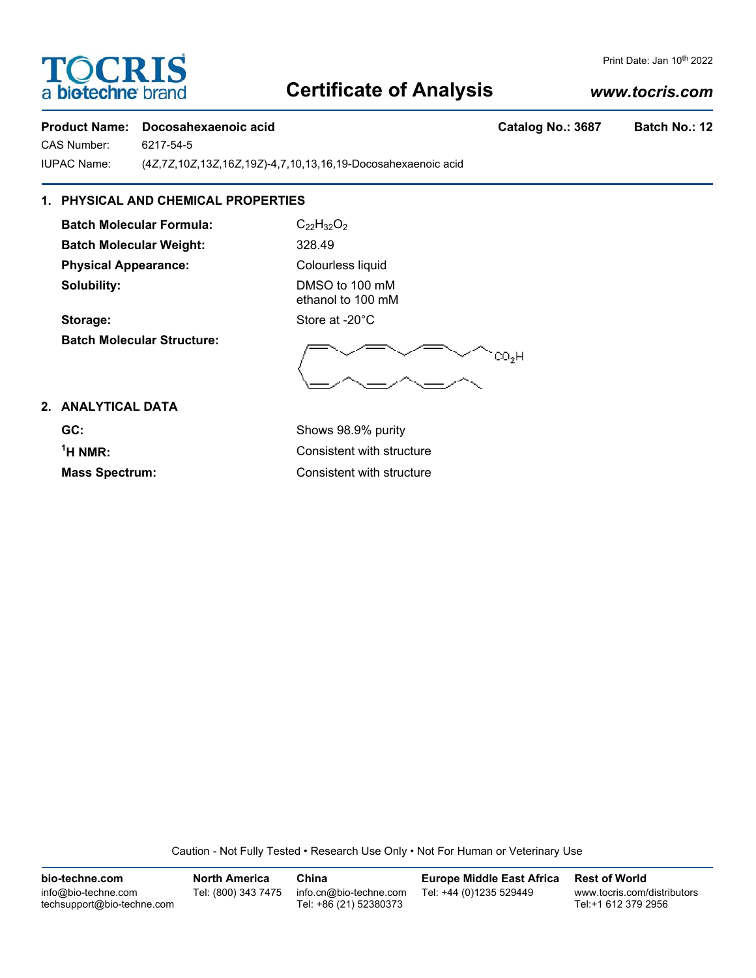# **TOCRIS** a biotechne bra

#### Print Date: Jan 10<sup>th</sup> 2022

## **Certificate of Analysis**

### *www.tocris.com*

#### **Product Name: Docosahexaenoic acid Catalog No.: 3687 Batch No.: 12**

CAS Number: 6217-54-5

IUPAC Name: (4*Z*,7*Z*,10*Z*,13*Z*,16*Z*,19*Z*)-4,7,10,13,16,19-Docosahexaenoic acid

## **1. PHYSICAL AND CHEMICAL PROPERTIES**

**Batch Molecular Formula:** C<sub>22</sub>H<sub>32</sub>O<sub>2</sub> **Batch Molecular Weight:** 328.49 **Physical Appearance:** Colourless liquid **Solubility:** DMSO to 100 mM

**Batch Molecular Structure:**

ethanol to 100 mM Storage: Store at -20°C

 $\degree$ CO<sub>2</sub>H

**2. ANALYTICAL DATA**

**GC:** Shows 98.9% purity  $<sup>1</sup>H NMR$ :</sup>

**Consistent with structure Mass Spectrum:** Consistent with structure

Caution - Not Fully Tested • Research Use Only • Not For Human or Veterinary Use